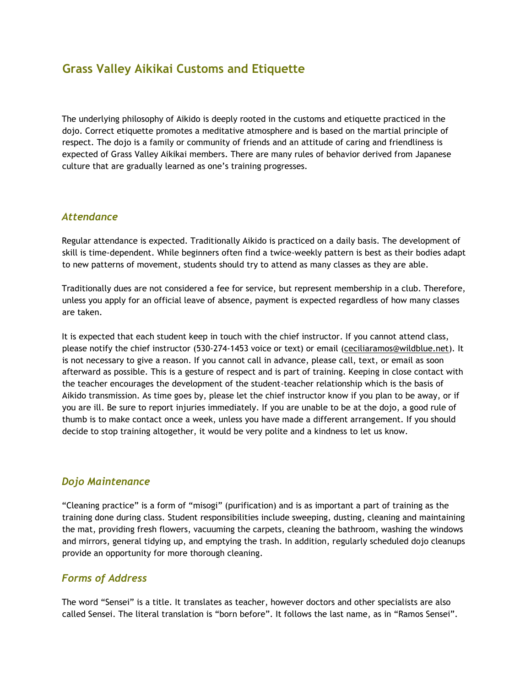# **Grass Valley Aikikai Customs and Etiquette**

The underlying philosophy of Aikido is deeply rooted in the customs and etiquette practiced in the dojo. Correct etiquette promotes a meditative atmosphere and is based on the martial principle of respect. The dojo is a family or community of friends and an attitude of caring and friendliness is expected of Grass Valley Aikikai members. There are many rules of behavior derived from Japanese culture that are gradually learned as one's training progresses.

### *Attendance*

Regular attendance is expected. Traditionally Aikido is practiced on a daily basis. The development of skill is time-dependent. While beginners often find a twice-weekly pattern is best as their bodies adapt to new patterns of movement, students should try to attend as many classes as they are able.

Traditionally dues are not considered a fee for service, but represent membership in a club. Therefore, unless you apply for an official leave of absence, payment is expected regardless of how many classes are taken.

It is expected that each student keep in touch with the chief instructor. If you cannot attend class, please notify the chief instructor (530-274-1453 voice or text) or email (ceciliaramos@wildblue.net). It is not necessary to give a reason. If you cannot call in advance, please call, text, or email as soon afterward as possible. This is a gesture of respect and is part of training. Keeping in close contact with the teacher encourages the development of the student-teacher relationship which is the basis of Aikido transmission. As time goes by, please let the chief instructor know if you plan to be away, or if you are ill. Be sure to report injuries immediately. If you are unable to be at the dojo, a good rule of thumb is to make contact once a week, unless you have made a different arrangement. If you should decide to stop training altogether, it would be very polite and a kindness to let us know.

#### *Dojo Maintenance*

"Cleaning practice" is a form of "misogi" (purification) and is as important a part of training as the training done during class. Student responsibilities include sweeping, dusting, cleaning and maintaining the mat, providing fresh flowers, vacuuming the carpets, cleaning the bathroom, washing the windows and mirrors, general tidying up, and emptying the trash. In addition, regularly scheduled dojo cleanups provide an opportunity for more thorough cleaning.

## *Forms of Address*

The word "Sensei" is a title. It translates as teacher, however doctors and other specialists are also called Sensei. The literal translation is "born before". It follows the last name, as in "Ramos Sensei".